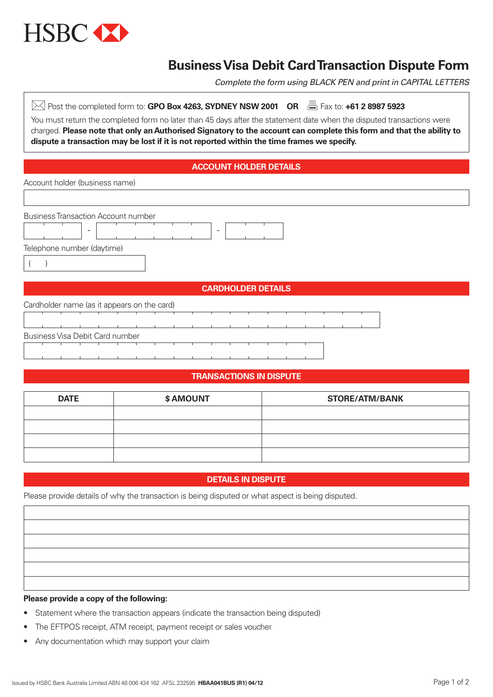

# **Business Visa Debit Card Transaction Dispute Form**

*Complete the form using BLACK PEN and print in CAPITAL LETTERS*

| Post the completed form to: GPO Box 4263, SYDNEY NSW 2001 OR $\quad \stackrel{\boxplus}{\implies}$ Fax to: +61 2 8987 5923                                                                                                                    |  |  |  |  |  |  |  |
|-----------------------------------------------------------------------------------------------------------------------------------------------------------------------------------------------------------------------------------------------|--|--|--|--|--|--|--|
| You must return the completed form no later than 45 days after the statement date when the disputed transactions were<br>charged. Please note that only an Authorised Signatory to the account can complete this form and that the ability to |  |  |  |  |  |  |  |
|                                                                                                                                                                                                                                               |  |  |  |  |  |  |  |
|                                                                                                                                                                                                                                               |  |  |  |  |  |  |  |
| <b>ACCOUNT HOLDER DETAILS</b>                                                                                                                                                                                                                 |  |  |  |  |  |  |  |
| Account holder (business name)                                                                                                                                                                                                                |  |  |  |  |  |  |  |
|                                                                                                                                                                                                                                               |  |  |  |  |  |  |  |
| <b>Business Transaction Account number</b>                                                                                                                                                                                                    |  |  |  |  |  |  |  |
| ۰<br>-                                                                                                                                                                                                                                        |  |  |  |  |  |  |  |
| Telephone number (daytime)                                                                                                                                                                                                                    |  |  |  |  |  |  |  |
|                                                                                                                                                                                                                                               |  |  |  |  |  |  |  |
|                                                                                                                                                                                                                                               |  |  |  |  |  |  |  |
| <b>CARDHOLDER DETAILS</b>                                                                                                                                                                                                                     |  |  |  |  |  |  |  |
| Cardholder name (as it appears on the card)                                                                                                                                                                                                   |  |  |  |  |  |  |  |
|                                                                                                                                                                                                                                               |  |  |  |  |  |  |  |

# **TRANSACTIONS IN DISPUTE**

| <b>DATE</b> | \$ AMOUNT | <b>STORE/ATM/BANK</b> |
|-------------|-----------|-----------------------|
|             |           |                       |
|             |           |                       |
|             |           |                       |
|             |           |                       |

## **DETAILS IN DISPUTE**

Please provide details of why the transaction is being disputed or what aspect is being disputed.

#### **Please provide a copy of the following:**

Business Visa Debit Card number

- Statement where the transaction appears (indicate the transaction being disputed)
- The EFTPOS receipt, ATM receipt, payment receipt or sales voucher
- Any documentation which may support your claim